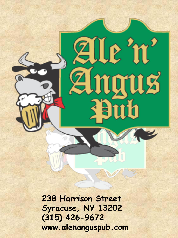

**238 Harrison Street Syracuse, NY 13202 (315) 426-9672 www.alenanguspub.com**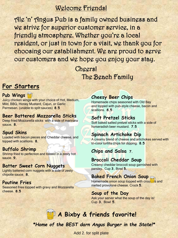# Welcome Friends!

Ale 'n' Angus Pub is a family owned business and we strive for superior customer service, in a friendly atmosphere. Whether you're a local resident, or just in town for a visit, we thank you for choosing our establishment. We are proud to serve our customers and we hope you enjoy your stay.

> Cheers! The Beach Family

### **For Starters**

#### **Pub Wings**

Juicy chicken wings with your choice of Hot, Medium, Mild, BBQ, Honey Mustard, Cajun, or Garlic Parmesan. (unable to split sauces) **8.5**

#### **Beer Battered Mozzarella Sticks**

Deep fried Mozzarella sticks with a side of marinara sauce. **8.**

#### **Spud Skins**

Loaded with bacon pieces and Cheddar cheese, and topped with scallions. **8.**

#### **Buffalo Shrimp**

Shrimp fried to perfection and tossed in a zesty hot sauce. **9.**

#### **Batter Sweet Corn Nuggets**

Lightly battered corn nuggets with a side of zesty chipotle sauce. **8.**

#### **Poutine Fries**

Seasoned fries topped with gravy and Mozzarella cheese. **8.5**

**Cheesy Beer Chips**<br>Homemade chips seasoned with Old Bay and topped with pub-style cheese, bacon and scallions. **8.5**

#### **Soft Pretzel Sticks**

Soft baked salted pretzel sticks with a side of horseradish beer mustard. **7.5**

#### **Spinach Artichoke Dip**

A creamy blend of cheese and artichokes served with tri-color tortilla chips for dipping. **8.5**

**Chips and Salsa 7.**

#### **Broccoli Cheddar Soup**

Creamy cheddar broccoli soup garnished with parsley. Cup **3.** Bowl **5.**

#### **Baked French Onion Soup**

Homemade onion soup topped with croutinus and melted provolone cheese. Crock **5.**

#### **Soup of the Day**

Ask your server what the soup of the day is! Cup **3.** Bowl **5.**

# **A Bixby & friends favorite!**

*\*Home of the BEST darn Angus Burger in the State!\**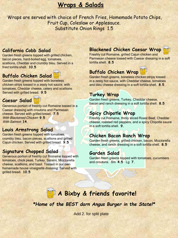# **Wraps & Salads**

Wraps are served with choice of French Fries, Homemade Potato Chips, Fruit Cup, Coleslaw or Applesauce. Substitute Onion Rings 1.5

#### **California Cobb Salad**

Garden fresh greens topped with grilled chicken, bacon pieces, hard-boiled egg, tomatoes, scallions, Cheddar and crumbly bleu. Served in a fried tortilla shell. **10.5**

### **Buffalo Chicken Salad**

Garden fresh greens topped with boneless chicken strips tossed in a zesty hot sauce, with tomatoes, Cheddar cheese, celery and scallions. Served with grilled bread. **9.5**

#### **Caesar Salad**

Generous portion of freshly cut Romaine tossed in a Caesar dressing with croutons and Parmesan cheese. Served with grilled bread. **7.5** With Blackened Chicken **9.5** With Salmon **14.**

#### **Louis Armstrong Salad**

Garden fresh greens topped with tomatoes, crumbly bleu, bacon pieces, scallions and grilled Cajun chicken. Served with grilled bread. **9.5**

#### **Signature Chopped Salad**

Generous portion of freshly cut Romaine topped with tomatoes, chick peas, Turkey, Salami, Mozzarella cheese, scallions, and basil. Tossed in our own homemade house vinaigrette dressing. Served with grilled bread. **10.5**

#### **Blackened Chicken Caesar Wrap**

Freshly cut Romaine, grilled Cajun chicken and Parmesan cheese tossed with Caesar dressing in a soft tortilla shell. **8.5**

### **Buffalo Chicken Wrap**

Garden fresh greens, boneless chicken strips tossed in a zesty hot sauce, with Cheddar cheese, tomatoes and bleu cheese dressing in a soft tortilla shell. **8.5**

#### **Turkey Wrap**

Garden fresh greens, Turkey, Cheddar cheese, bacon and ranch dressing in a soft tortilla shell. **8.5**

#### **Spicy Chipotle Wrap**

Freshly cut Romaine, thinly sliced Roast Beef, Cheddar cheese, roasted red peppers, and a spicy Chipotle sauce in a soft tortilla shell. **9.**

#### **Chicken Bacon Ranch Wrap**

Garden fresh greens, grilled chicken, bacon, Mozzarella cheese, and ranch dressing in a soft tortilla shell. **8.5**

#### **Garden Salad**

Garden fresh greens topped with tomatoes, cucumbers and croutons. Sm **4.5** Lg **7.**

# **A Bixby & friends favorite!**

*\*Home of the BEST darn Angus Burger in the State!\**



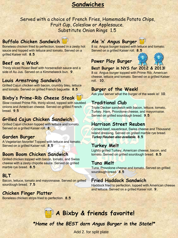# **Sandwiches**

Served with a choice of French Fries, Homemade Potato Chips, Fruit Cup, Coleslaw or Applesauce. Substitute Onion Rings 1.5

#### **Buffalo Chicken Sandwich**

Boneless chicken fried to perfection, tossed in a zesty hot sauce and topped with lettuce and tomato, Served on a grilled Kaiser roll. **8.5**

#### **Beef on a Weck**

Thinly sliced Roast Beef with horseradish sauce and a side of Au Jus. Served on a Kimmelweck bun. **9.**

#### **Louis Armstrong Sandwich**

Grilled Cajun chicken with bacon, crumbly bleu, lettuce and tomato. Served on grilled French baguette. **8.5**

#### **Bixby's Prime-Rib Cheese Steak**

Slow cooked Prime Rib, thinly sliced, topped with sautéed onions and American cheese. Served on grilled French bread. **9.5**

#### **Grilled Cajun Chicken Sandwich**

Grilled Cajun chicken topped with lettuce and tomato. Served on a grilled Kaiser roll. **8.**

#### **Garden Burger**

A Vegetarian favorite! Topped with lettuce and tomato. Served on a grilled Kaiser roll. **8.5**

#### **Boom Boom Chicken Sandwich**

Grilled chicken topped with bacon, tomato, and Swiss cheese with a zesty chipotle sauce. Served on grilled marble rye bread. **8.5**

### **BLT**

Bacon, lettuce, tomato and mayonnaise. Served on grilled sourdough bread. **7.5**

#### **Chicken Finger Platter**

Boneless chicken strips fried to perfection. **8.5**

### **Ale 'n' Angus Burger**

8 oz. Angus burger topped with lettuce and tomato. Served on a grilled Kaiser roll. **8.5**

#### **Power Play Burger**



#### **Best Burger in NYS for 2012 & 2013!**

8 oz. Angus burger topped with Prime Rib, American cheese, lettuce and tomato. Served on a grilled Kaiser roll. **10.**

#### **Burger of the Week!**

Ask your server what the burger of the week is! **10.**

#### **Traditional Club**

Triple Decker sandwich with bacon, lettuce, tomato, Turkey, Ham, Provolone cheese, and mayonnaise. Served on grilled sourdough bread. **9.5**

#### **Harrison Street Reuben**

Corned-beef, sauerkraut, Swiss cheese and Thousand Island dressing. Served on grilled marble rye bread. Turkey Reuben also available. **8.5**

#### **Turkey Melt**

Lightly grilled Turkey, American cheese, bacon, and tomato. Served on grilled sourdough bread. **8.5**

#### **Tuna Melt**

Tuna, Provolone cheese and tomato. Served on grilled sourdough bread. **8.5**

#### **Fried Haddock Sandwich**

Haddock fried to perfection, topped with American cheese and lettuce. Served on a grilled Kaiser roll. **9.**

# **A Bixby & friends favorite!**

*\*Home of the BEST darn Angus Burger in the State!\**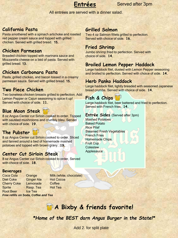

#### Served after 3pm

All entrées are served with a dinner salad.

### **California Pasta**

 Pasta smothered with a spinach artichoke and roasted red pepper cream sauce and topped with grilled chicken. Served with grilled bread. 15.

#### **Chicken Parmesan**

Breaded chicken topped with marinara sauce and Mozzarella cheese on a bed of pasta. Served with grilled bread. 13.

#### **Chicken Carbonara Pasta**

Pasta, grilled chicken, and bacon tossed in a creamy parmesan sauce. Served with grilled bread. 15.

#### **Two Piece Chicken**

Two boneless chicken breasts grilled to perfection. Add Lemon Pepper or Cajun seasoning to spice it up! Served with choice of side. **11.**

### **Blue Moon Steak**

8 oz Angus Center cut Sirloin cooked to order. Topped with sautéed mushrooms and crumbly bleu. Served with choice of side. **19.**

### **The Pubster**

8 oz Angus Center cut Sirloin cooked to order. Sliced and fanned around a bed of homemade mashed potatoes and topped with brown gravy. **19.**

#### **Center Cut Sirloin Steak**

8 oz Angus Center cut Sirloin cooked to order, Served with choice of side. **18.**

#### **Beverages**

Diet Coke Ginger Ale Hot Cocoa Cherry Coke Lemonade Coffee Sprite Rasp. Tea Hot Tea Root Beer Ice Tea

Coca Cola Orange Milk (white, chocolate)

*Free refills on Soda, Coffee and Tea*

#### **Grilled Salmon**

Two 4 oz Salmon fillets grilled to perfection. Served with choice of side. **16.**

#### **Fried Shrimp**

Jumbo shrimp fried to perfection. Served with choice of side. **14.**

#### **Broiled Lemon Pepper Haddock**

Large haddock filet, dusted with Lemon Pepper seasoning and broiled to perfection. Served with choice of side. **14.**

#### **Herb Panko Haddock**

Large haddock filet, lightly breaded with seasoned Japanese bread crumbs. Served with choice of side. **14.**

### **Fish & Chips**

Large haddock filet, beer battered and fried to perfection. Served with French fries. **14.**

#### **Entrée Sides** (Served after 3pm)

Mashed Potatoes Baked Potato Rice Pilaf Steamed Fresh Vegetables French Fries Homemade Chips Fruit Cup Coleslaw **Applesauce** 

# **A Bixby & friends favorite!**

*\*Home of the BEST darn Angus Burger in the State!\**